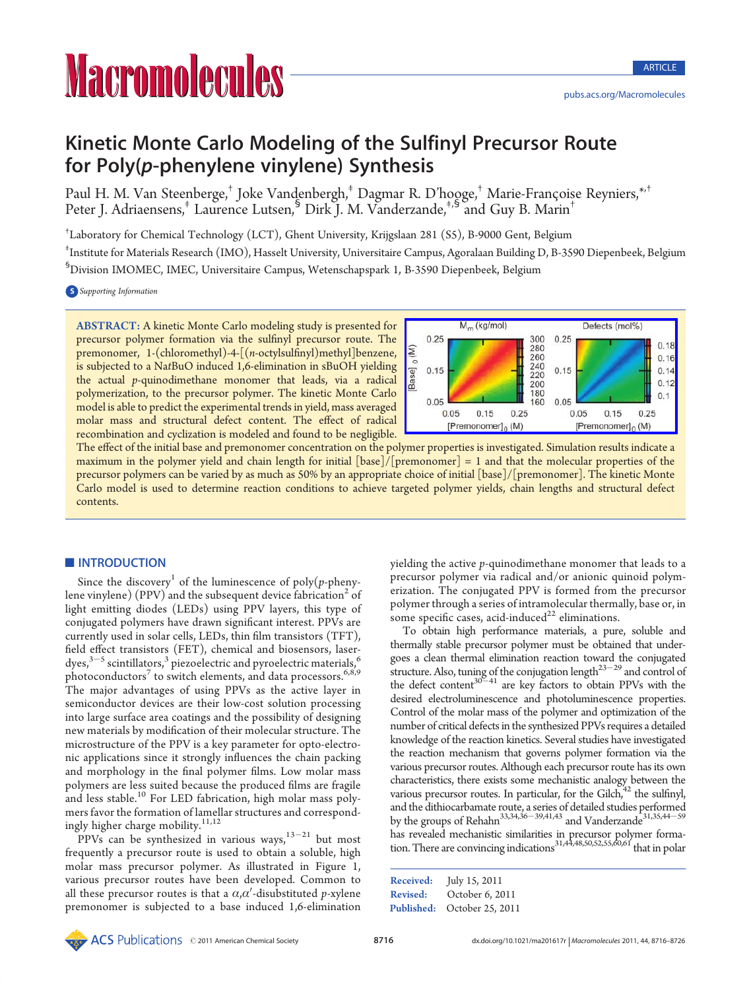# Kinetic Monte Carlo Modeling of the Sulfinyl Precursor Route for Poly(p-phenylene vinylene) Synthesis

Paul H. M. Van Steenberge,<sup>†</sup> Joke Vandenbergh,<sup>‡</sup> Dagmar R. D'hooge,<sup>†</sup> Marie-Françoise Reyniers,<sup>\*,†</sup> Peter J. Adriaensens,<sup>‡</sup> Laurence Lutsen,<sup>§</sup> Dirk J. M. Vanderzande,<sup>‡,§</sup> and Guy B. Marin<sup>†</sup>

† Laboratory for Chemical Technology (LCT), Ghent University, Krijgslaan 281 (S5), B-9000 Gent, Belgium ‡ Institute for Materials Research (IMO), Hasselt University, Universitaire Campus, Agoralaan Building D, B-3590 Diepenbeek, Belgium § Division IMOMEC, IMEC, Universitaire Campus, Wetenschapspark 1, B-3590 Diepenbeek, Belgium

**S** Supporting Information

ABSTRACT: A kinetic Monte Carlo modeling study is presented for precursor polymer formation via the sulfinyl precursor route. The premonomer, 1-(chloromethyl)-4-[(n-octylsulfinyl)methyl]benzene, is subjected to a NatBuO induced 1,6-elimination in sBuOH yielding the actual p-quinodimethane monomer that leads, via a radical polymerization, to the precursor polymer. The kinetic Monte Carlo model is able to predict the experimental trends in yield, mass averaged molar mass and structural defect content. The effect of radical recombination and cyclization is modeled and found to be negligible.



The effect of the initial base and premonomer concentration on the polymer properties is investigated. Simulation results indicate a maximum in the polymer yield and chain length for initial [base]/[premonomer] = 1 and that the molecular properties of the precursor polymers can be varied by as much as 50% by an appropriate choice of initial [base]/[premonomer]. The kinetic Monte Carlo model is used to determine reaction conditions to achieve targeted polymer yields, chain lengths and structural defect contents.

# **INTRODUCTION**

Since the discovery<sup>1</sup> of the luminescence of poly(p-phenylene vinylene) (PPV) and the subsequent device fabrication<sup>2</sup> of light emitting diodes (LEDs) using PPV layers, this type of conjugated polymers have drawn significant interest. PPVs are currently used in solar cells, LEDs, thin film transistors (TFT), field effect transistors (FET), chemical and biosensors, laserdyes, $^{3-5}$  scintillators, $^3$  piezoelectric and pyroelectric materials, $^6$ photoconductors<sup>7</sup> to switch elements, and data processors.<sup>6,8,9</sup> The major advantages of using PPVs as the active layer in semiconductor devices are their low-cost solution processing into large surface area coatings and the possibility of designing new materials by modification of their molecular structure. The microstructure of the PPV is a key parameter for opto-electronic applications since it strongly influences the chain packing and morphology in the final polymer films. Low molar mass polymers are less suited because the produced films are fragile and less stable.<sup>10</sup> For LED fabrication, high molar mass polymers favor the formation of lamellar structures and correspondingly higher charge mobility.<sup>11,12</sup>

PPVs can be synthesized in various  $ways<sub>1</sub><sup>13-21</sup>$  but most frequently a precursor route is used to obtain a soluble, high molar mass precursor polymer. As illustrated in Figure 1, various precursor routes have been developed. Common to all these precursor routes is that a  $\alpha,\!\alpha'$ -disubstituted p-xylene premonomer is subjected to a base induced 1,6-elimination yielding the active p-quinodimethane monomer that leads to a precursor polymer via radical and/or anionic quinoid polymerization. The conjugated PPV is formed from the precursor polymer through a series of intramolecular thermally, base or, in some specific cases, acid-induced $^{22}$  eliminations.

**PULLE AMERICAN CALLER CONSULTS (CALLER CALLER CALLER CALLER CALLER CALLER CALLER CALLER CALLER CALLER CALLER CALLER CALLER CALLER CALLER CALLER CALLER CALLER CALLER CALLER CALLER CALLER CALLER CALLER CALLER CALLER CALLER** To obtain high performance materials, a pure, soluble and thermally stable precursor polymer must be obtained that undergoes a clean thermal elimination reaction toward the conjugated structure. Also, tuning of the conjugation length $^{23-29}$  and control of the defect content<sup>30-41</sup> are key factors to obtain PPVs with the desired electroluminescence and photoluminescence properties. Control of the molar mass of the polymer and optimization of the number of critical defects in the synthesized PPVs requires a detailed knowledge of the reaction kinetics. Several studies have investigated the reaction mechanism that governs polymer formation via the various precursor routes. Although each precursor route has its own characteristics, there exists some mechanistic analogy between the various precursor routes. In particular, for the Gilch, $42$  the sulfinyl, and the dithiocarbamate route, a series of detailed studies performed by the groups of Rehahn<sup>33,34,36-39,41,43</sup> and Vanderzande<sup>31,35,44-59</sup> has revealed mechanistic similarities in precursor polymer formation. There are convincing indications $^{31,44,48,50,52,55,60,61}$  that in polar

| Received: | July 15, 2011               |
|-----------|-----------------------------|
| Revised:  | October 6, 2011             |
|           | Published: October 25, 2011 |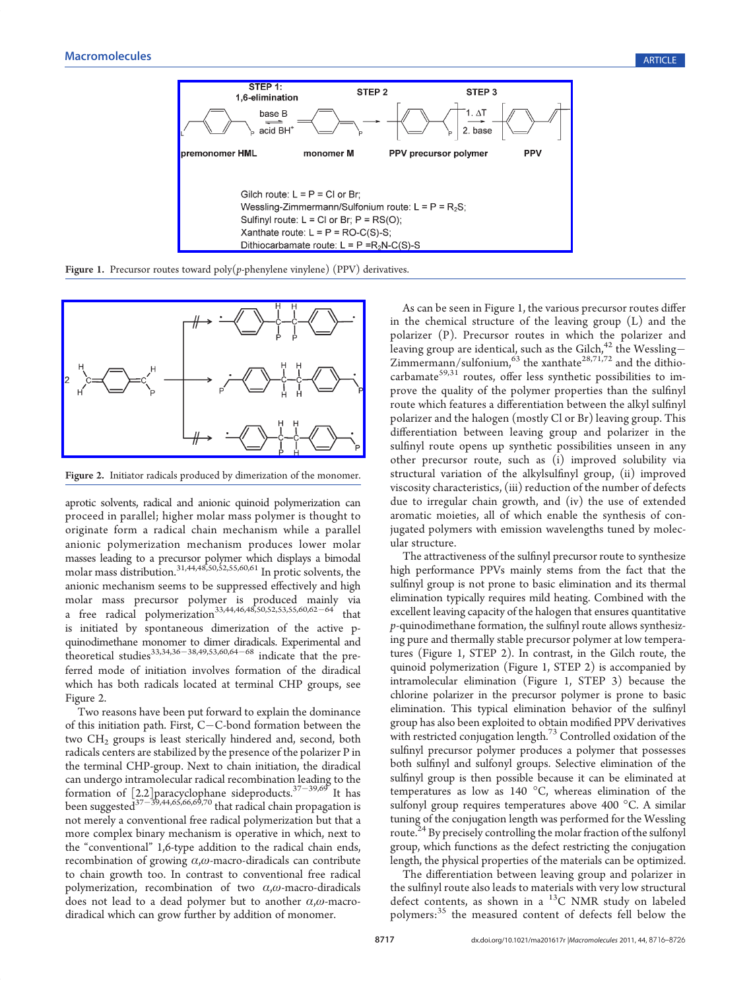

**Figure 1.** Precursor routes toward poly $(p$ -phenylene vinylene) (PPV) derivatives.



Figure 2. Initiator radicals produced by dimerization of the monomer.

aprotic solvents, radical and anionic quinoid polymerization can proceed in parallel; higher molar mass polymer is thought to originate form a radical chain mechanism while a parallel anionic polymerization mechanism produces lower molar masses leading to a precursor polymer which displays a bimodal molar mass distribution.<sup>31,44,48,50,52,55,60,61</sup> In protic solvents, the anionic mechanism seems to be suppressed effectively and high molar mass precursor polymer is produced mainly via a free radical polymerization<sup>33,44,46,48,50,52,53,55,60,62-64</sup> that is initiated by spontaneous dimerization of the active pquinodimethane monomer to dimer diradicals. Experimental and theoretical studies<sup>33,34,36–38,49,53,60,64–68</sup> indicate that the preferred mode of initiation involves formation of the diradical which has both radicals located at terminal CHP groups, see Figure 2.

Two reasons have been put forward to explain the dominance of this initiation path. First,  $C - C$ -bond formation between the two  $CH<sub>2</sub>$  groups is least sterically hindered and, second, both radicals centers are stabilized by the presence of the polarizer P in the terminal CHP-group. Next to chain initiation, the diradical can undergo intramolecular radical recombination leading to the formation of [2.2] paracyclophane sideproducts.<sup>37-39,69</sup> It has been suggested $^{\rm 37-\overline{39},44,65,66,69,70}$  that radical chain propagation is not merely a conventional free radical polymerization but that a more complex binary mechanism is operative in which, next to the "conventional" 1,6-type addition to the radical chain ends, recombination of growing  $\alpha, \omega$ -macro-diradicals can contribute to chain growth too. In contrast to conventional free radical polymerization, recombination of two  $\alpha$ , $\omega$ -macro-diradicals does not lead to a dead polymer but to another  $\alpha, \omega$ -macrodiradical which can grow further by addition of monomer.

As can be seen in Figure 1, the various precursor routes differ in the chemical structure of the leaving group (L) and the polarizer (P). Precursor routes in which the polarizer and leaving group are identical, such as the Gilch,  $^{42}$  the Wessling-Zimmermann/sulfonium,  $^{63}$  the xanthate<sup>28,71,72</sup> and the dithiocarbamate<sup>59,31</sup> routes, offer less synthetic possibilities to improve the quality of the polymer properties than the sulfinyl route which features a differentiation between the alkyl sulfinyl polarizer and the halogen (mostly Cl or Br) leaving group. This differentiation between leaving group and polarizer in the sulfinyl route opens up synthetic possibilities unseen in any other precursor route, such as (i) improved solubility via structural variation of the alkylsulfinyl group, (ii) improved viscosity characteristics, (iii) reduction of the number of defects due to irregular chain growth, and (iv) the use of extended aromatic moieties, all of which enable the synthesis of conjugated polymers with emission wavelengths tuned by molecular structure.

The attractiveness of the sulfinyl precursor route to synthesize high performance PPVs mainly stems from the fact that the sulfinyl group is not prone to basic elimination and its thermal elimination typically requires mild heating. Combined with the excellent leaving capacity of the halogen that ensures quantitative p-quinodimethane formation, the sulfinyl route allows synthesizing pure and thermally stable precursor polymer at low temperatures (Figure 1, STEP 2). In contrast, in the Gilch route, the quinoid polymerization (Figure 1, STEP 2) is accompanied by intramolecular elimination (Figure 1, STEP 3) because the chlorine polarizer in the precursor polymer is prone to basic elimination. This typical elimination behavior of the sulfinyl group has also been exploited to obtain modified PPV derivatives with restricted conjugation length.<sup>73</sup> Controlled oxidation of the sulfinyl precursor polymer produces a polymer that possesses both sulfinyl and sulfonyl groups. Selective elimination of the sulfinyl group is then possible because it can be eliminated at temperatures as low as 140  $^{\circ}$ C, whereas elimination of the sulfonyl group requires temperatures above 400 °C. A similar tuning of the conjugation length was performed for the Wessling route.<sup>24</sup> By precisely controlling the molar fraction of the sulfonyl group, which functions as the defect restricting the conjugation length, the physical properties of the materials can be optimized.

The differentiation between leaving group and polarizer in the sulfinyl route also leads to materials with very low structural defect contents, as shown in a  $^{13}$ C NMR study on labeled polymers:<sup>35</sup> the measured content of defects fell below the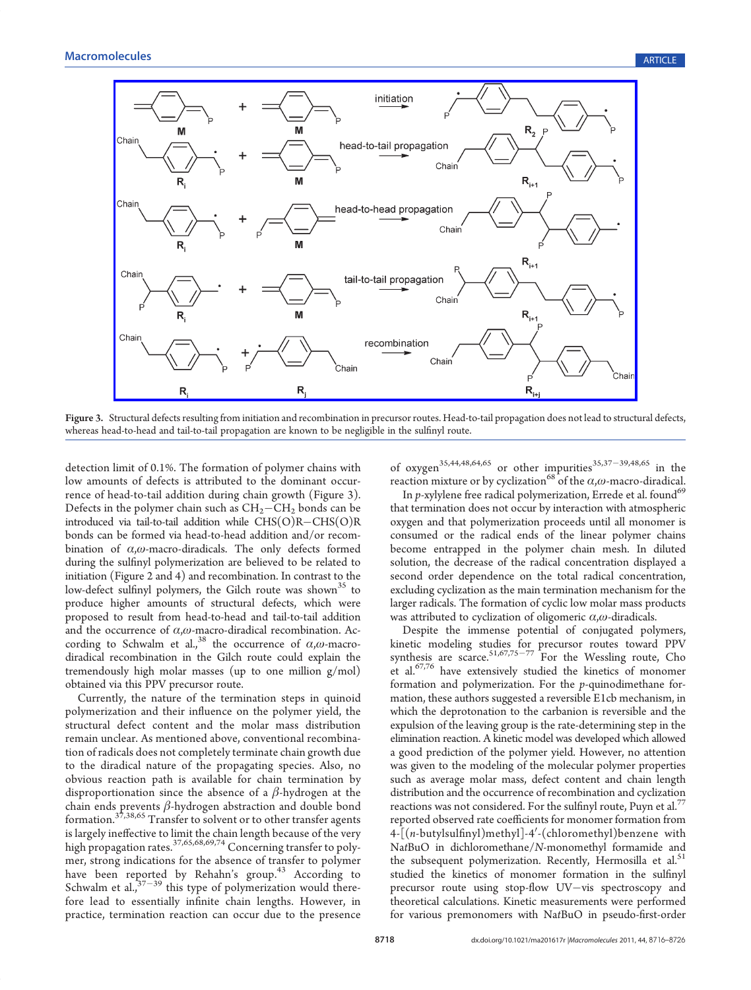

Figure 3. Structural defects resulting from initiation and recombination in precursor routes. Head-to-tail propagation does not lead to structural defects, whereas head-to-head and tail-to-tail propagation are known to be negligible in the sulfinyl route.

detection limit of 0.1%. The formation of polymer chains with low amounts of defects is attributed to the dominant occurrence of head-to-tail addition during chain growth (Figure 3). Defects in the polymer chain such as  $CH<sub>2</sub>-CH<sub>2</sub>$  bonds can be introduced via tail-to-tail addition while  $CHS(O)R-CHS(O)R$ bonds can be formed via head-to-head addition and/or recombination of  $\alpha$ , $\omega$ -macro-diradicals. The only defects formed during the sulfinyl polymerization are believed to be related to initiation (Figure 2 and 4) and recombination. In contrast to the low-defect sulfinyl polymers, the Gilch route was shown<sup>35</sup> to produce higher amounts of structural defects, which were proposed to result from head-to-head and tail-to-tail addition and the occurrence of  $\alpha$ , $\omega$ -macro-diradical recombination. According to Schwalm et al.,<sup>38</sup> the occurrence of  $\alpha$ , $\omega$ -macrodiradical recombination in the Gilch route could explain the tremendously high molar masses (up to one million g/mol) obtained via this PPV precursor route.

Currently, the nature of the termination steps in quinoid polymerization and their influence on the polymer yield, the structural defect content and the molar mass distribution remain unclear. As mentioned above, conventional recombination of radicals does not completely terminate chain growth due to the diradical nature of the propagating species. Also, no obvious reaction path is available for chain termination by disproportionation since the absence of a  $\beta$ -hydrogen at the chain ends prevents  $\beta$ -hydrogen abstraction and double bond formation.<sup>37,38,65</sup> Transfer to solvent or to other transfer agents is largely ineffective to limit the chain length because of the very high propagation rates.37,65,68,69,74 Concerning transfer to polymer, strong indications for the absence of transfer to polymer have been reported by Rehahn's group.<sup>43</sup> According to Schwalm et al.,  $37-39$  this type of polymerization would therefore lead to essentially infinite chain lengths. However, in practice, termination reaction can occur due to the presence

of oxygen<sup>35,44,48,64,65</sup> or other impurities<sup>35,37-39,48,65</sup> in the reaction mixture or by cyclization<sup>68</sup> of the  $\alpha$ , $\omega$ -macro-diradical.

In  $p$ -xylylene free radical polymerization, Errede et al. found<sup>69</sup> that termination does not occur by interaction with atmospheric oxygen and that polymerization proceeds until all monomer is consumed or the radical ends of the linear polymer chains become entrapped in the polymer chain mesh. In diluted solution, the decrease of the radical concentration displayed a second order dependence on the total radical concentration, excluding cyclization as the main termination mechanism for the larger radicals. The formation of cyclic low molar mass products was attributed to cyclization of oligomeric  $\alpha, \omega$ -diradicals.

Despite the immense potential of conjugated polymers, kinetic modeling studies for precursor routes toward PPV synthesis are scarce.  $51,67,75-77$  For the Wessling route, Cho et al.<sup>67,76</sup> have extensively studied the kinetics of monomer formation and polymerization. For the  $p$ -quinodimethane formation, these authors suggested a reversible E1cb mechanism, in which the deprotonation to the carbanion is reversible and the expulsion of the leaving group is the rate-determining step in the elimination reaction. A kinetic model was developed which allowed a good prediction of the polymer yield. However, no attention was given to the modeling of the molecular polymer properties such as average molar mass, defect content and chain length distribution and the occurrence of recombination and cyclization reactions was not considered. For the sulfinyl route, Puyn et al.<sup>77</sup> reported observed rate coefficients for monomer formation from 4-[(n-butylsulfinyl)methyl]-4'-(chloromethyl)benzene with NatBuO in dichloromethane/N-monomethyl formamide and the subsequent polymerization. Recently, Hermosilla et al.<sup>51</sup> studied the kinetics of monomer formation in the sulfinyl precursor route using stop-flow UV-vis spectroscopy and theoretical calculations. Kinetic measurements were performed for various premonomers with NatBuO in pseudo-first-order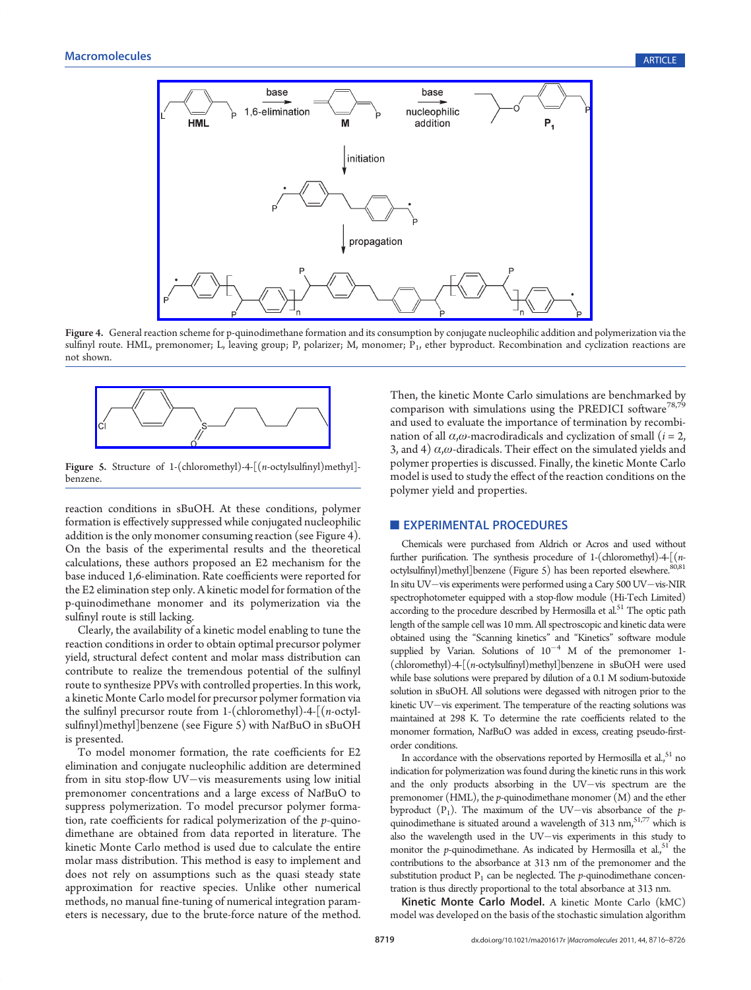

Figure 4. General rea[ction](http://pubs.acs.org/action/showImage?doi=10.1021/ma201617r&iName=master.img-004.png&w=346&h=189) [scheme](http://pubs.acs.org/action/showImage?doi=10.1021/ma201617r&iName=master.img-004.png&w=346&h=189) [for](http://pubs.acs.org/action/showImage?doi=10.1021/ma201617r&iName=master.img-004.png&w=346&h=189) [p-quinodimethane](http://pubs.acs.org/action/showImage?doi=10.1021/ma201617r&iName=master.img-004.png&w=346&h=189) [formation](http://pubs.acs.org/action/showImage?doi=10.1021/ma201617r&iName=master.img-004.png&w=346&h=189) [and](http://pubs.acs.org/action/showImage?doi=10.1021/ma201617r&iName=master.img-004.png&w=346&h=189) [its](http://pubs.acs.org/action/showImage?doi=10.1021/ma201617r&iName=master.img-004.png&w=346&h=189) [consumption](http://pubs.acs.org/action/showImage?doi=10.1021/ma201617r&iName=master.img-004.png&w=346&h=189) [by](http://pubs.acs.org/action/showImage?doi=10.1021/ma201617r&iName=master.img-004.png&w=346&h=189) [conjugate](http://pubs.acs.org/action/showImage?doi=10.1021/ma201617r&iName=master.img-004.png&w=346&h=189) [nucleophilic](http://pubs.acs.org/action/showImage?doi=10.1021/ma201617r&iName=master.img-004.png&w=346&h=189) [addition](http://pubs.acs.org/action/showImage?doi=10.1021/ma201617r&iName=master.img-004.png&w=346&h=189) [and](http://pubs.acs.org/action/showImage?doi=10.1021/ma201617r&iName=master.img-004.png&w=346&h=189) polymerization via the sulfinyl route. HML, premonomer; L, leaving group; P, polarizer; M, monomer; P<sub>1</sub>, ether byproduct. Recombination and cyclization reactions are not shown.



Figure 5. Structure of 1-(chloromethyl)-4-[(n-octylsulfinyl)methyl] benzene.

reaction conditions in sBuOH. At these conditions, polymer formation is effectively suppressed while conjugated nucleophilic addition is the only monomer consuming reaction (see Figure 4). On the basis of the experimental results and the theoretical calculations, these authors proposed an E2 mechanism for the base induced 1,6-elimination. Rate coefficients were reported for the E2 elimination step only. A kinetic model for formation of the p-quinodimethane monomer and its polymerization via the sulfinyl route is still lacking.

Clearly, the availability of a kinetic model enabling to tune the reaction conditions in order to obtain optimal precursor polymer yield, structural defect content and molar mass distribution can contribute to realize the tremendous potential of the sulfinyl route to synthesize PPVs with controlled properties. In this work, a kinetic Monte Carlo model for precursor polymer formation via the sulfinyl precursor route from 1-(chloromethyl)-4-[(n-octylsulfinyl)methyl]benzene (see Figure 5) with NatBuO in sBuOH is presented.

To model monomer formation, the rate coefficients for E2 elimination and conjugate nucleophilic addition are determined from in situ stop-flow UV-vis measurements using low initial premonomer concentrations and a large excess of NatBuO to suppress polymerization. To model precursor polymer formation, rate coefficients for radical polymerization of the p-quinodimethane are obtained from data reported in literature. The kinetic Monte Carlo method is used due to calculate the entire molar mass distribution. This method is easy to implement and does not rely on assumptions such as the quasi steady state approximation for reactive species. Unlike other numerical methods, no manual fine-tuning of numerical integration parameters is necessary, due to the brute-force nature of the method.

Then, the kinetic Monte Carlo simulations are benchmarked by comparison with simulations using the PREDICI software<sup>78,79</sup> and used to evaluate the importance of termination by recombination of all  $\alpha$ , $\omega$ -macrodiradicals and cyclization of small ( $i = 2$ , 3, and 4)  $\alpha$ , $\omega$ -diradicals. Their effect on the simulated yields and polymer properties is discussed. Finally, the kinetic Monte Carlo model is used to study the effect of the reaction conditions on the polymer yield and properties.

#### **EXPERIMENTAL PROCEDURES**

Chemicals were purchased from Aldrich or Acros and used without further purification. The synthesis procedure of 1-(chloromethyl)-4-[(noctylsulfinyl)methyl]benzene (Figure 5) has been reported elsewhere.<sup>80,81</sup> In situ UV-vis experiments were performed using a Cary 500 UV-vis-NIR spectrophotometer equipped with a stop-flow module (Hi-Tech Limited)  $\frac{1}{2}$  according to the procedure described by Hermosilla et al.<sup>51</sup> The optic path length of the sample cell was 10 mm. All spectroscopic and kinetic data were obtained using the "Scanning kinetics" and "Kinetics" software module supplied by Varian. Solutions of  $10^{-4}$  M of the premonomer 1-(chloromethyl)-4-[(n-octylsulfinyl)methyl]benzene in sBuOH were used while base solutions were prepared by dilution of a 0.1 M sodium-butoxide solution in sBuOH. All solutions were degassed with nitrogen prior to the kinetic UV-vis experiment. The temperature of the reacting solutions was maintained at 298 K. To determine the rate coefficients related to the monomer formation, NatBuO was added in excess, creating pseudo-firstorder conditions.

In accordance with the observations reported by Hermosilla et al., 51 no indication for polymerization was found during the kinetic runs in this work and the only products absorbing in the  $UV-vis$  spectrum are the premonomer (HML), the  $p$ -quinodimethane monomer  $(M)$  and the ether byproduct  $(P_1)$ . The maximum of the UV-vis absorbance of the pquinodimethane is situated around a wavelength of  $313$  nm,<sup>51,77</sup> which is also the wavelength used in the UV $-$ vis experiments in this study to monitor the *p*-quinodimethane. As indicated by Hermosilla et al.,  $51$  the contributions to the absorbance at 313 nm of the premonomer and the substitution product  $P_1$  can be neglected. The p-quinodimethane concentration is thus directly proportional to the total absorbance at 313 nm.

Kinetic Monte Carlo Model. A kinetic Monte Carlo (kMC) model was developed on the basis of the stochastic simulation algorithm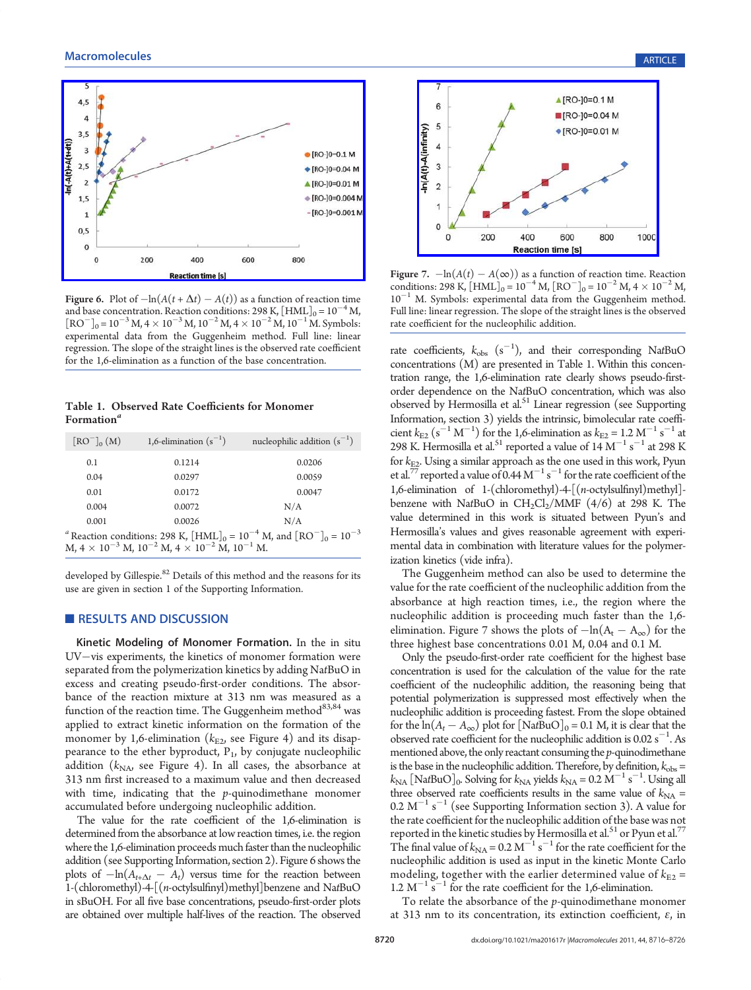

Figure 6. Plot of  $-\ln(A(t + \Delta t) - A(t))$  as a function of reaction time and base concentration. Reaction conditions: 298 K,  $\text{[HML]}_0 = 10^{-4}$  M,  $[RO<sup>-</sup>]_{0} = 10^{-3} M$ ,  $4 \times 10^{-3} M$ ,  $10^{-2} M$ ,  $4 \times 10^{-2} M$ ,  $10^{-1} M$ . Symbols: experimental data from the Guggenheim method. Full line: linear regression. The slope of the straight lines is the observed rate coefficient for the 1,6-elimination as a function of the base concentration.

Table 1. Observed Rate Coefficients for Monomer Formation $\mathbf{a}^a$ 

| $\left[\text{RO}^-\right]_0(M)$ | 1,6-elimination $(s^{-1})$                                         | nucleophilic addition $(s^{-1})$                                                                       |
|---------------------------------|--------------------------------------------------------------------|--------------------------------------------------------------------------------------------------------|
| 0.1                             | 0.1214                                                             | 0.0206                                                                                                 |
| 0.04                            | 0.0297                                                             | 0.0059                                                                                                 |
| 0.01                            | 0.0172                                                             | 0.0047                                                                                                 |
| 0.004                           | 0.0072                                                             | N/A                                                                                                    |
| 0.001                           | 0.0026                                                             | N/A                                                                                                    |
|                                 |                                                                    | <sup>a</sup> Reaction conditions: 298 K, $\text{[HML]}_0 = 10^{-4}$ M, and $\text{[RO}^-]_0 = 10^{-3}$ |
|                                 | $M, 4 \times 10^{-3} M, 10^{-2} M, 4 \times 10^{-2} M, 10^{-1} M.$ |                                                                                                        |

developed by Gillespie.<sup>82</sup> Details of this method and the reasons for its use are given in section 1 of the Supporting Information.

### RESULTS AND DISCUSSION

Kinetic Modeling of Monomer Formation. In the in situ UV-vis experiments, the kinetics of monomer formation were separated from the polymerization kinetics by adding NatBuO in excess and creating pseudo-first-order conditions. The absorbance of the reaction mixture at 313 nm was measured as a function of the reaction time. The Guggenheim method $^{83,84}$  was applied to extract kinetic information on the formation of the monomer by 1,6-elimination ( $k_{\rm E2}$ , see Figure 4) and its disappearance to the ether byproduct,  $P_1$ , by conjugate nucleophilic addition  $(k_{\text{NA}})$  see Figure 4). In all cases, the absorbance at 313 nm first increased to a maximum value and then decreased with time, indicating that the  $p$ -quinodimethane monomer accumulated before undergoing nucleophilic addition.

The value for the rate coefficient of the 1,6-elimination is determined from the absorbance at low reaction times, i.e. the region where the 1,6-elimination proceeds much faster than the nucleophilic addition (see Supporting Information, section 2). Figure 6 shows the plots of  $-\ln(A_{t+\Delta t} - A_t)$  versus time for the reaction between 1-(chloromethyl)-4-[(n-octylsulfinyl)methyl]benzene and NatBuO in sBuOH. For all five base concentrations, pseudo-first-order plots are obtained over multiple half-lives of the reaction. The observed



Figure 7.  $-\ln(A(t) - A(\infty))$  as a function of reaction time. Reaction conditions: 298 K,  $\text{[HML]}_0 = 10^{-4} \text{ M}$ ,  $\text{[RO}^-]_0 = 10^{-2} \text{ M}$ ,  $4 \times 10^{-2} \text{ M}$ ,  $10^{-1}$  M. Symbols: experimental data from the Guggenheim method. Full line: linear regression. The slope of the straight lines is the observed rate coefficient for the nucleophilic addition.

rate coefficients,  $k_{obs}$   $(s^{-1})$ , and their corresponding NatBuO concentrations (M) are presented in Table 1. Within this concentration range, the 1,6-elimination rate clearly shows pseudo-firstorder dependence on the NatBuO concentration, which was also observed by Hermosilla et al. $51$  Linear regression (see Supporting Information, section 3) yields the intrinsic, bimolecular rate coefficient  $k_{\text{E2}}$  (s<sup>-1</sup> M<sup>-1</sup>) for the 1,6-elimination as  $k_{\text{E2}} = 1.2 \text{ M}^{-1} \text{ s}^{-1}$  at 298 K. Hermosilla et al.<sup>51</sup> reported a value of  $14 \text{ M}^{-1} \text{ s}^{-1}$  at 298 K for  $k_{E2}$ . Using a similar approach as the one used in this work, Pyun et al.<sup>77</sup> reported a value of 0.44  $M^{-1}$  s<sup>-1</sup> for the rate coefficient of the 1,6-elimination of 1-(chloromethyl)-4-[(n-octylsulfinyl)methyl] benzene with NatBuO in  $CH_2Cl_2/MMF$  (4/6) at 298 K. The value determined in this work is situated between Pyun's and Hermosilla's values and gives reasonable agreement with experimental data in combination with literature values for the polymerization kinetics (vide infra).

The Guggenheim method can also be used to determine the value for the rate coefficient of the nucleophilic addition from the absorbance at high reaction times, i.e., the region where the nucleophilic addition is proceeding much faster than the 1,6 elimination. Figure 7 shows the plots of  $-\ln(A_t - A_\infty)$  for the three highest base concentrations 0.01 M, 0.04 and 0.1 M.

Only the pseudo-first-order rate coefficient for the highest base concentration is used for the calculation of the value for the rate coefficient of the nucleophilic addition, the reasoning being that potential polymerization is suppressed most effectively when the nucleophilic addition is proceeding fastest. From the slope obtained for the  $ln(A_t - A_{\infty})$  plot for [NatBuO]<sub>0</sub> = 0.1 M, it is clear that the observed rate coefficient for the nucleophilic addition is  $0.02 \text{ s}^{-1}$ . As mentioned above, the only reactant consuming the  $p$ -quinodimethane is the base in the nucleophilic addition. Therefore, by definition,  $k_{\text{obs}} =$  $k_{\text{NA}}$  [NatBuO]<sub>0</sub>. Solving for  $k_{\text{NA}}$  yields  $k_{\text{NA}} = 0.2 \text{ M}^{-1} \text{ s}^{-1}$ . Using all three observed rate coefficients results in the same value of  $k_{NA}$  =  $0.2 \text{ M}^{-1} \text{ s}^{-1}$  (see Supporting Information section 3). A value for the rate coefficient for the nucleophilic addition of the base was not reported in the kinetic studies by Hermosilla et al.<sup>51</sup> or Pyun et al.<sup>7</sup> The final value of  $k_{\text{NA}} = 0.2 \text{ M}^{-1} \text{ s}^{-1}$  for the rate coefficient for the nucleophilic addition is used as input in the kinetic Monte Carlo modeling, together with the earlier determined value of  $k_{E2}$  =  $1.2 \text{ M}^{-1} \text{ s}^{-1}$  for the rate coefficient for the 1,6-elimination.

To relate the absorbance of the p-quinodimethane monomer at 313 nm to its concentration, its extinction coefficient,  $ε$ , in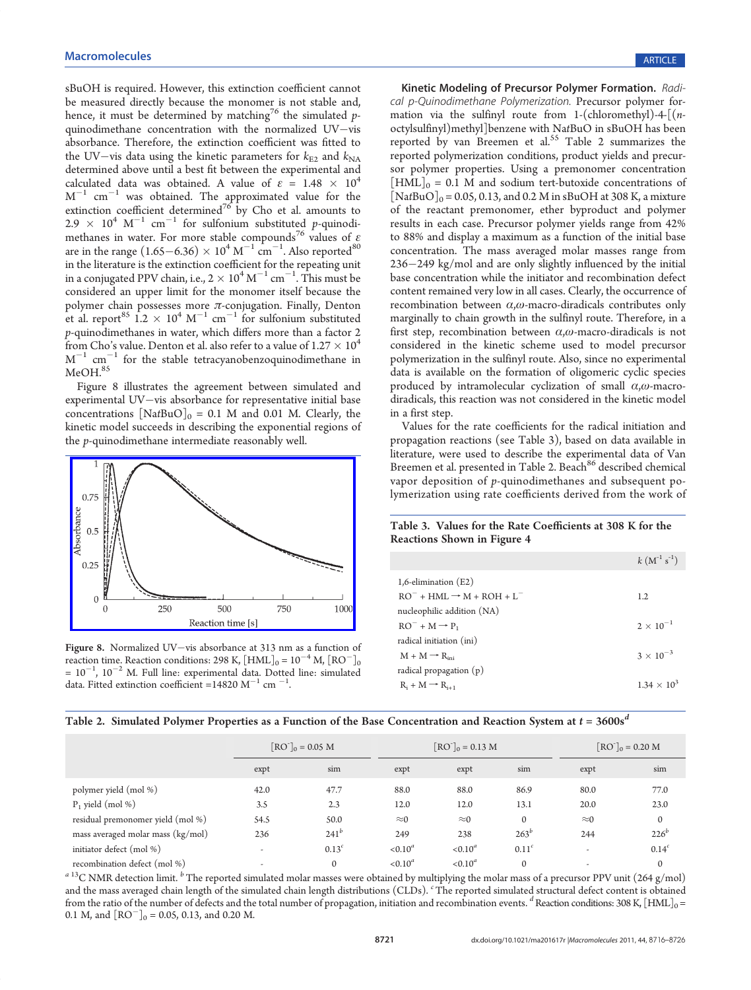sBuOH is required. However, this extinction coefficient cannot be measured directly because the monomer is not stable and, hence, it must be determined by matching<sup>76</sup> the simulated pquinodimethane concentration with the normalized  $UV-vis$ absorbance. Therefore, the extinction coefficient was fitted to the UV-vis data using the kinetic parameters for  $k_{E2}$  and  $k_{NA}$ determined above until a best fit between the experimental and calculated data was obtained. A value of  $\varepsilon = 1.48 \times 10^4$  $M^{-1}$  cm $^{-1}$  was obtained. The approximated value for the extinction coefficient determined<sup>76</sup> by Cho et al. amounts to 2.9  $\times$  10<sup>4</sup> M<sup>-1</sup> cm<sup>-1</sup> for sulfonium substituted p-quinodimethanes in water. For more stable compounds<sup>76</sup> values of  $\varepsilon$ are in the range  $(1.65-6.36) \times 10^4 \,\mathrm{M}^{-1} \,\mathrm{cm}^{-1}$ . Also reported<sup>80</sup> in the literature is the extinction coefficient for the repeating unit in a conjugated PPV chain, i.e.,  $2 \times 10^4 \,\mathrm{M}^{-1} \,\mathrm{cm}^{-1}$ . This must be considered an upper limit for the monomer itself because the polymer chain possesses more  $\pi$ -conjugation. Finally, Denton et al. report<sup>85</sup>  $1.2 \times 10^4$  M<sup>-1</sup> cm<sup>-1</sup> for sulfonium substituted p-quinodimethanes in water, which differs more than a factor 2 from Cho's value. Denton et al. also refer to a value of 1.27  $\times$   $10^4$  $\text{M}^{-1}$  cm $^{-1}$  for the stable tetracyanobenzoquinodimethane in MeOH.<sup>85</sup>

Figure 8 illustrates the agreement between simulated and experimental UV-vis absorbance for representative initial base concentrations  $[NatBuO]_0 = 0.1$  M and 0.01 M. Clearly, the kinetic model succeeds in describing the exponential regions of the p-quinodimethane intermediate reasonably well.



Figure 8. Normalized UV-vis absorbance at 313 nm as a function of reaction time. Reaction conditions: 298 K,  $[\text{HML}]_0 = 10^{-4} \text{ M}$ ,  $[\text{RO}^-]_0$  $= 10^{-1}$ ,  $10^{-2}$  M. Full line: experimental data. Dotted line: simulated data. Fitted extinction coefficient =14820 M<sup>-1</sup> cm <sup>-1</sup>. .

Kinetic Modeling of Precursor Polymer Formation. Radical p-Quinodimethane Polymerization. Precursor polymer formation via the sulfinyl route from 1-(chloromethyl)-4- $\lceil$ (*n*octylsulfinyl)methyl]benzene with NatBuO in sBuOH has been reported by van Breemen et al.<sup>55</sup> Table 2 summarizes the reported polymerization conditions, product yields and precursor polymer properties. Using a premonomer concentration  $\text{[HML]}_0 = 0.1 \text{ M}$  and sodium tert-butoxide concentrations of  $[\text{NatBuO}]_0 = 0.05, 0.13, \text{ and } 0.2 \text{ M}$  in sBuOH at 308 K, a mixture of the reactant premonomer, ether byproduct and polymer results in each case. Precursor polymer yields range from 42% to 88% and display a maximum as a function of the initial base concentration. The mass averaged molar masses range from  $236 - 249$  kg/mol and are only slightly influenced by the initial base concentration while the initiator and recombination defect content remained very low in all cases. Clearly, the occurrence of recombination between  $\alpha$ , $\omega$ -macro-diradicals contributes only marginally to chain growth in the sulfinyl route. Therefore, in a first step, recombination between  $\alpha$ , $\omega$ -macro-diradicals is not considered in the kinetic scheme used to model precursor polymerization in the sulfinyl route. Also, since no experimental data is available on the formation of oligomeric cyclic species produced by intramolecular cyclization of small  $\alpha$ , $\omega$ -macrodiradicals, this reaction was not considered in the kinetic model in a first step.

Values for the rate coefficients for the radical initiation and propagation reactions (see Table 3), based on data available in literature, were used to describe the experimental data of Van Breemen et al. presented in Table 2. Beach<sup>86</sup> described chemical vapor deposition of p-quinodimethanes and subsequent polymerization using rate coefficients derived from the work of

# Table 3. Values for the Rate Coefficients at 308 K for the Reactions Shown in Figure 4

| $k (M^{-1} s^{-1})$  |
|----------------------|
|                      |
| 1.2                  |
|                      |
| $2 \times 10^{-1}$   |
|                      |
| $3 \times 10^{-3}$   |
|                      |
| $1.34 \times 10^{3}$ |
|                      |

|  |  | Table 2. Simulated Polymer Properties as a Function of the Base Concentration and Reaction System at $t = 3600s^d$ |  |  |
|--|--|--------------------------------------------------------------------------------------------------------------------|--|--|
|  |  |                                                                                                                    |  |  |

|                                   | $[\text{RO}^{-}]_{0} = 0.05 \text{ M}$ |                   | $[RO^{-}]_{0} = 0.13 M$ |             |                   | $[RO^{-}]_{0} = 0.20 M$  |                   |
|-----------------------------------|----------------------------------------|-------------------|-------------------------|-------------|-------------------|--------------------------|-------------------|
|                                   | expt                                   | sim               | expt                    | expt        | sim               | expt                     | sim               |
| polymer yield (mol %)             | 42.0                                   | 47.7              | 88.0                    | 88.0        | 86.9              | 80.0                     | 77.0              |
| $P_1$ yield (mol %)               | 3.5                                    | 2.3               | 12.0                    | 12.0        | 13.1              | 20.0                     | 23.0              |
| residual premonomer yield (mol %) | 54.5                                   | 50.0              | $\approx$ 0             | $\approx$ 0 | $\Omega$          | $\approx 0$              | $\mathbf{0}$      |
| mass averaged molar mass (kg/mol) | 236                                    | $241^b$           | 249                     | 238         | $263^{b}$         | 244                      | $226^{b}$         |
| initiator defect (mol %)          | $\overline{\phantom{a}}$               | 0.13 <sup>c</sup> | $< 0.10^a$              | $< 0.10^a$  | 0.11 <sup>c</sup> | $\overline{\phantom{a}}$ | 0.14 <sup>c</sup> |
| recombination defect (mol %)      | $\overline{\phantom{a}}$               | $\mathbf{0}$      | $< 0.10^a$              | $< 0.10^a$  | $\Omega$          |                          | $\mathbf{0}$      |

<sup>a 13</sup>C NMR detection limit. <sup>b</sup> The reported simulated molar masses were obtained by multiplying the molar mass of a precursor PPV unit (264 g/mol) and the mass averaged chain length of the simulated chain length distributions (CLDs). 'The reported simulated structural defect content is obtained from the ratio of the number of defects and the total number of propagation, initiation and recombination events.  $^d$  Reaction conditions: 308 K, [HML] $_{\rm 0}$  = 0.1 M, and  $[RO^-]_0 = 0.05$ , 0.13, and 0.20 M.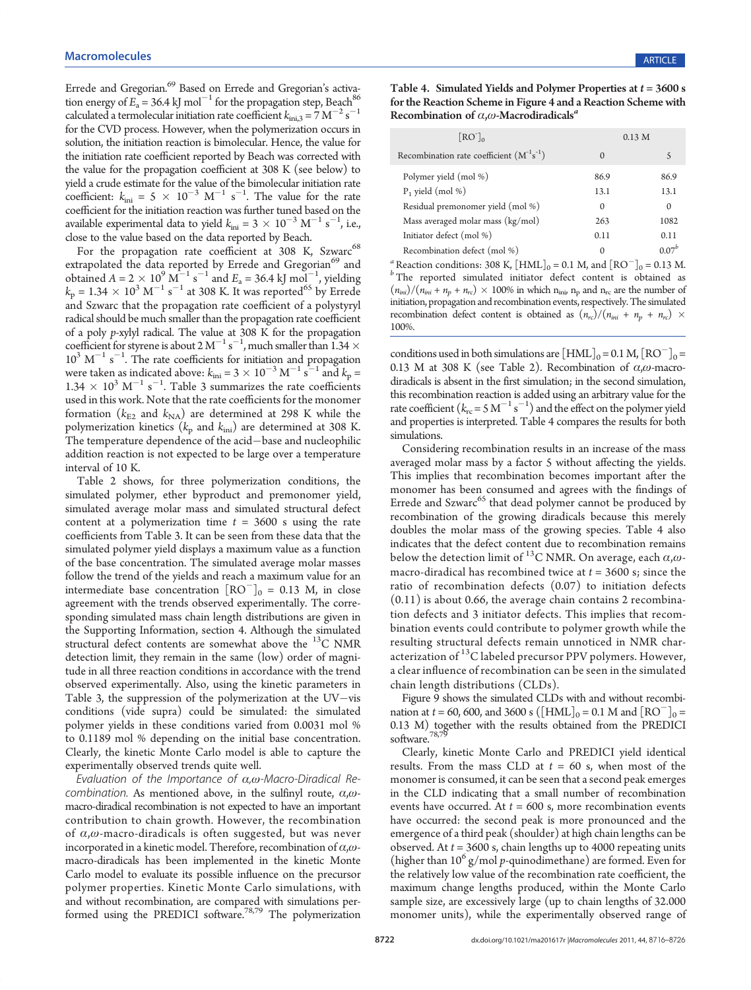Errede and Gregorian.<sup>69</sup> Based on Errede and Gregorian's activation energy of  $E_a = 36.4$  kJ mol<sup>-1</sup> for the propagation step, Beach<sup>86</sup> calculated a termolecular initiation rate coefficient  $k_{\text{ini,3}} = 7 \text{ M}^{-2} \text{ s}^{-1}$ for the CVD process. However, when the polymerization occurs in solution, the initiation reaction is bimolecular. Hence, the value for the initiation rate coefficient reported by Beach was corrected with the value for the propagation coefficient at 308 K (see below) to yield a crude estimate for the value of the bimolecular initiation rate coefficient:  $k_{\text{ini}} = 5 \times 10^{-3} \text{ M}^{-1} \text{ s}^{-1}$ . The value for the rate coefficient for the initiation reaction was further tuned based on the available experimental data to yield  $k_{\text{ini}} = 3 \times 10^{-3} \text{ M}^{-1} \text{ s}^{-1}$ , i.e., close to the value based on the data reported by Beach.

For the propagation rate coefficient at 308 K, Szwarc<sup>68</sup> extrapolated the data reported by Errede and Gregorian<sup>69</sup> and obtained  $A = 2 \times 10^9$   $\text{M}^{-1}$  s<sup>-1</sup> and  $E_a = 36.4$  kJ mol<sup>-1</sup>, yielding  $k_p = 1.34 \times 10^3 \text{ M}^{-1} \text{ s}^{-1}$  at 308 K. It was reported<sup>65</sup> by Errede and Szwarc that the propagation rate coefficient of a polystyryl radical should be much smaller than the propagation rate coefficient of a poly p-xylyl radical. The value at 308 K for the propagation coefficient for styrene is about  $2 M^{-1} s^{-1}$ , much smaller than  $1.34 \times 10^{3} s$  $10^3$  M<sup>-1</sup> s<sup>-1</sup>. The rate coefficients for initiation and propagation were taken as indicated above:  $k_{\text{ini}} = 3 \times 10^{-3} \text{ M}^{-1} \text{ s}^{-1}$  and  $k_{\text{p}} =$  $1.34 \times 10^3 \text{ M}^{-1} \text{ s}^{-1}$ . Table 3 summarizes the rate coefficients used in this work. Note that the rate coefficients for the monomer formation ( $k_{E2}$  and  $k_{NA}$ ) are determined at 298 K while the polymerization kinetics ( $k_p$  and  $k_{\text{ini}}$ ) are determined at 308 K. The temperature dependence of the acid-base and nucleophilic addition reaction is not expected to be large over a temperature interval of 10 K.

Table 2 shows, for three polymerization conditions, the simulated polymer, ether byproduct and premonomer yield, simulated average molar mass and simulated structural defect content at a polymerization time  $t = 3600$  s using the rate coefficients from Table 3. It can be seen from these data that the simulated polymer yield displays a maximum value as a function of the base concentration. The simulated average molar masses follow the trend of the yields and reach a maximum value for an intermediate base concentration  $[RO^-]_0 = 0.13$  M, in close agreement with the trends observed experimentally. The corresponding simulated mass chain length distributions are given in the Supporting Information, section 4. Although the simulated structural defect contents are somewhat above the  $^{13}$ C NMR detection limit, they remain in the same (low) order of magnitude in all three reaction conditions in accordance with the trend observed experimentally. Also, using the kinetic parameters in Table 3, the suppression of the polymerization at the  $UV$ -vis conditions (vide supra) could be simulated: the simulated polymer yields in these conditions varied from 0.0031 mol % to 0.1189 mol % depending on the initial base concentration. Clearly, the kinetic Monte Carlo model is able to capture the experimentally observed trends quite well.

Evaluation of the Importance of  $\alpha$ , $\omega$ -Macro-Diradical Recombination. As mentioned above, in the sulfinyl route,  $\alpha$ , $\omega$ macro-diradical recombination is not expected to have an important contribution to chain growth. However, the recombination of  $\alpha$ , $\omega$ -macro-diradicals is often suggested, but was never incorporated in a kinetic model. Therefore, recombination of  $\alpha$ , $\omega$ macro-diradicals has been implemented in the kinetic Monte Carlo model to evaluate its possible influence on the precursor polymer properties. Kinetic Monte Carlo simulations, with and without recombination, are compared with simulations performed using the PREDICI software.<sup>78,79</sup> The polymerization

Table 4. Simulated Yields and Polymer Properties at  $t = 3600$  s for the Reaction Scheme in Figure 4 and a Reaction Scheme with Recombination of  $\alpha, \omega$ -Macrodiradicals<sup>a</sup>

| [RO <sub>0</sub> ]                              | 0.13 <sub>M</sub> |            |
|-------------------------------------------------|-------------------|------------|
| Recombination rate coefficient $(M^{-1}s^{-1})$ | $\Omega$          |            |
| Polymer yield (mol %)                           | 86.9              | 86.9       |
| $P_1$ yield (mol %)                             | 13.1              | 13.1       |
| Residual premonomer yield (mol %)               | 0                 | $\Omega$   |
| Mass averaged molar mass (kg/mol)               | 263               | 1082       |
| Initiator defect (mol %)                        | 0.11              | 0.11       |
| Recombination defect (mol %)                    | 0                 | $0.07^{b}$ |

<sup>a</sup> Reaction conditions: 308 K,  $[HML]_0 = 0.1$  M, and  $[RO^-]_0 = 0.13$  M.<br><sup>b</sup> The reported simulated initiator defect content is obtained as  $(n_{\text{ini}})/(n_{\text{ini}} + n_p + n_{\text{rc}}) \times 100\%$  in which  $n_{\text{ini}} n_p$  and  $n_{\text{rc}}$  are the number of initiation, propagation and recombination events, respectively. The simulated recombination defect content is obtained as  $(n_{rc})/(n_{ini} + n_p + n_{rc}) \times$ 100%.

conditions used in both simulations are  $\text{[HML]}_0 = 0.1 \text{ M}, \text{[RO]}_0 =$ 0.13 M at 308 K (see Table 2). Recombination of  $\alpha$ , $\omega$ -macrodiradicals is absent in the first simulation; in the second simulation, this recombination reaction is added using an arbitrary value for the rate coefficient  $(k_{\text{rc}} = 5 \text{ M}^{-1} \text{ s}^{-1})$  and the effect on the polymer yield and properties is interpreted. Table 4 compares the results for both simulations.

Considering recombination results in an increase of the mass averaged molar mass by a factor 5 without affecting the yields. This implies that recombination becomes important after the monomer has been consumed and agrees with the findings of Errede and  $Szwarc^{65}$  that dead polymer cannot be produced by recombination of the growing diradicals because this merely doubles the molar mass of the growing species. Table 4 also indicates that the defect content due to recombination remains below the detection limit of <sup>13</sup>C NMR. On average, each  $\alpha$ , $\omega$ macro-diradical has recombined twice at  $t = 3600$  s; since the ratio of recombination defects (0.07) to initiation defects  $(0.11)$  is about 0.66, the average chain contains 2 recombination defects and 3 initiator defects. This implies that recombination events could contribute to polymer growth while the resulting structural defects remain unnoticed in NMR characterization of  $^{13}$ C labeled precursor PPV polymers. However, a clear influence of recombination can be seen in the simulated chain length distributions (CLDs).

Figure 9 shows the simulated CLDs with and without recombination at  $t = 60$ , 600, and 3600 s ([HML]<sub>0</sub> = 0.1 M and [RO<sup>-</sup>]<sub>0</sub> = 0.13 M) together with the results obtained from the PREDICI software.<sup>78,7</sup>

Clearly, kinetic Monte Carlo and PREDICI yield identical results. From the mass CLD at  $t = 60$  s, when most of the monomer is consumed, it can be seen that a second peak emerges in the CLD indicating that a small number of recombination events have occurred. At  $t = 600$  s, more recombination events have occurred: the second peak is more pronounced and the emergence of a third peak (shoulder) at high chain lengths can be observed. At  $t = 3600$  s, chain lengths up to 4000 repeating units (higher than  $10^6$  g/mol p-quinodimethane) are formed. Even for the relatively low value of the recombination rate coefficient, the maximum change lengths produced, within the Monte Carlo sample size, are excessively large (up to chain lengths of 32.000 monomer units), while the experimentally observed range of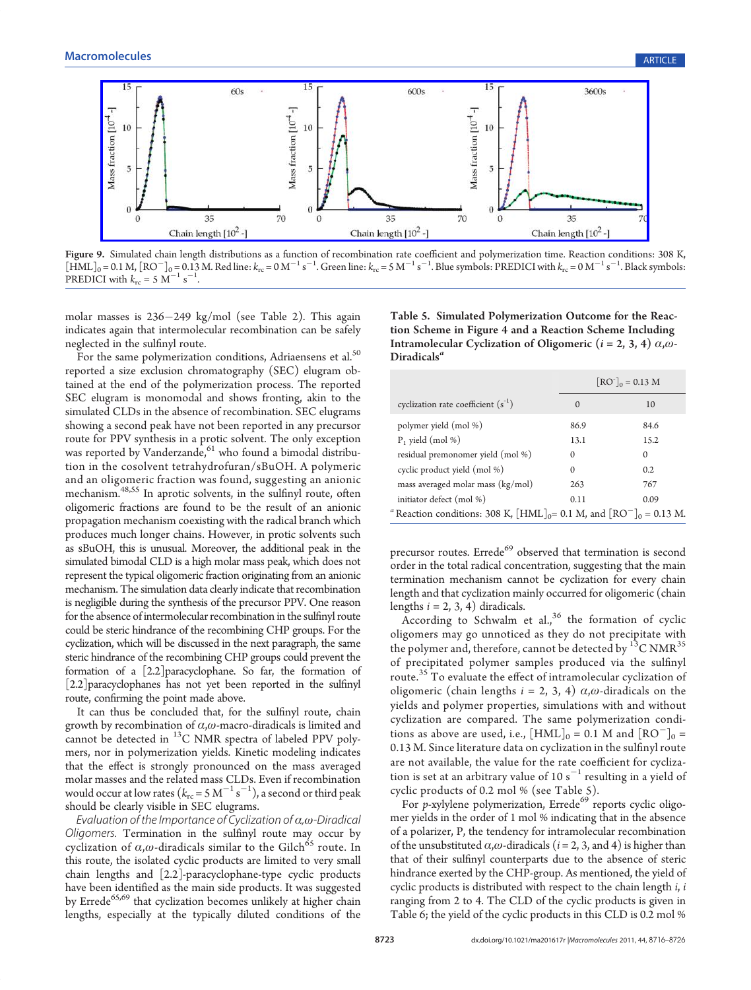

Figure 9. Simulated chain length distributions as a function of recombination rate coe[ffi](http://pubs.acs.org/action/showImage?doi=10.1021/ma201617r&iName=master.img-009.jpg&w=438&h=125)cient and polymerization time. Reaction conditions: 308 K,  $\text{[HML]}_0 = 0.1 \text{ M}, \text{[RO}^-]_0 = 0.13 \text{ M}.$  Red line:  $k_{\text{rc}} = 0 \text{ M}^{-1} \text{ s}^{-1}$ . Green line:  $k_{\text{rc}} = 5 \text{ M}^{-1} \text{ s}^{-1}$ . Blue symbols: PREDICI with  $k_{\text{rc}} = 0 \text{ M}^{-1} \text{ s}^{-1}$ . Black symbols: PREDICI with  $k_{\text{rc}} = 0$ .

molar masses is 236249 kg/mol (see Table 2). This again indicates again that intermolecular recombination can be safely neglected in the sulfinyl route.

For the same polymerization conditions, Adriaensens et al.<sup>50</sup> reported a size exclusion chromatography (SEC) elugram obtained at the end of the polymerization process. The reported SEC elugram is monomodal and shows fronting, akin to the simulated CLDs in the absence of recombination. SEC elugrams showing a second peak have not been reported in any precursor route for PPV synthesis in a protic solvent. The only exception was reported by Vanderzande,  $61$  who found a bimodal distribution in the cosolvent tetrahydrofuran/sBuOH. A polymeric and an oligomeric fraction was found, suggesting an anionic mechanism.<sup>48,55</sup> In aprotic solvents, in the sulfinyl route, often oligomeric fractions are found to be the result of an anionic propagation mechanism coexisting with the radical branch which produces much longer chains. However, in protic solvents such as sBuOH, this is unusual. Moreover, the additional peak in the simulated bimodal CLD is a high molar mass peak, which does not represent the typical oligomeric fraction originating from an anionic mechanism. The simulation data clearly indicate that recombination is negligible during the synthesis of the precursor PPV. One reason for the absence of intermolecular recombination in the sulfinyl route could be steric hindrance of the recombining CHP groups. For the cyclization, which will be discussed in the next paragraph, the same steric hindrance of the recombining CHP groups could prevent the formation of a [2.2]paracyclophane. So far, the formation of [2.2]paracyclophanes has not yet been reported in the sulfinyl route, confirming the point made above.

It can thus be concluded that, for the sulfinyl route, chain growth by recombination of  $\alpha, \omega$ -macro-diradicals is limited and cannot be detected in  $^{13}$ C NMR spectra of labeled PPV polymers, nor in polymerization yields. Kinetic modeling indicates that the effect is strongly pronounced on the mass averaged molar masses and the related mass CLDs. Even if recombination would occur at low rates  $(k_{\rm rc} = 5~{\rm M}^{-1}~{\rm s}^{-1})$ , a second or third peak should be clearly visible in SEC elugrams.

Evaluation of the Importance of Cyclization of  $\alpha,\omega$ -Diradical Oligomers. Termination in the sulfinyl route may occur by cyclization of  $\alpha, \omega$ -diradicals similar to the Gilch<sup>65</sup> route. In this route, the isolated cyclic products are limited to very small chain lengths and [2.2]-paracyclophane-type cyclic products have been identified as the main side products. It was suggested by Errede<sup>65,69</sup> that cyclization becomes unlikely at higher chain lengths, especially at the typically diluted conditions of the

Table 5. Simulated Polymerization Outcome for the Reaction Scheme in Figure 4 and a Reaction Scheme Including Intramolecular Cyclization of Oligomeric ( $i = 2, 3, 4$ )  $\alpha$ , $\omega$ -Diradicals<sup>a</sup>

|                                                                                                                        | $[RO^{-}]_0 = 0.13 M$ |          |  |
|------------------------------------------------------------------------------------------------------------------------|-----------------------|----------|--|
| cyclization rate coefficient $(s^{-1})$                                                                                | $\Omega$              | 10       |  |
| polymer yield (mol %)                                                                                                  | 86.9                  | 84.6     |  |
| $P_1$ yield (mol %)                                                                                                    | 13.1                  | 15.2     |  |
| residual premonomer yield (mol %)                                                                                      | $\Omega$              | $\Omega$ |  |
| cyclic product yield (mol %)                                                                                           | $\Omega$              | 0.2      |  |
| mass averaged molar mass (kg/mol)                                                                                      | 263                   | 767      |  |
| initiator defect (mol %)                                                                                               | 0.11                  | 0.09     |  |
| <sup>a</sup> Reaction conditions: 308 K, $\text{[HML]}_{0} = 0.1 \text{ M}$ , and $\text{[RO]}_{0} = 0.13 \text{ M}$ . |                       |          |  |

precursor routes. Errede<sup>69</sup> observed that termination is second order in the total radical concentration, suggesting that the main termination mechanism cannot be cyclization for every chain length and that cyclization mainly occurred for oligomeric (chain lengths  $i = 2, 3, 4$ ) diradicals.

According to Schwalm et al., $36$  the formation of cyclic oligomers may go unnoticed as they do not precipitate with the polymer and, therefore, cannot be detected by  $^{13}$ C NMR<sup>35</sup> of precipitated polymer samples produced via the sulfinyl route.<sup>35</sup> To evaluate the effect of intramolecular cyclization of oligomeric (chain lengths  $i = 2, 3, 4$ )  $\alpha, \omega$ -diradicals on the yields and polymer properties, simulations with and without cyclization are compared. The same polymerization conditions as above are used, i.e.,  $[HML]_0 = 0.1$  M and  $[RO^-]_0 =$ 0.13 M. Since literature data on cyclization in the sulfinyl route are not available, the value for the rate coefficient for cyclization is set at an arbitrary value of 10  $s^{-1}$  resulting in a yield of cyclic products of 0.2 mol % (see Table 5).

For  $p$ -xylylene polymerization, Errede $69$  reports cyclic oligomer yields in the order of 1 mol % indicating that in the absence of a polarizer, P, the tendency for intramolecular recombination of the unsubstituted  $\alpha$ , $\omega$ -diradicals (i = 2, 3, and 4) is higher than that of their sulfinyl counterparts due to the absence of steric hindrance exerted by the CHP-group. As mentioned, the yield of cyclic products is distributed with respect to the chain length i, i ranging from 2 to 4. The CLD of the cyclic products is given in Table 6; the yield of the cyclic products in this CLD is 0.2 mol %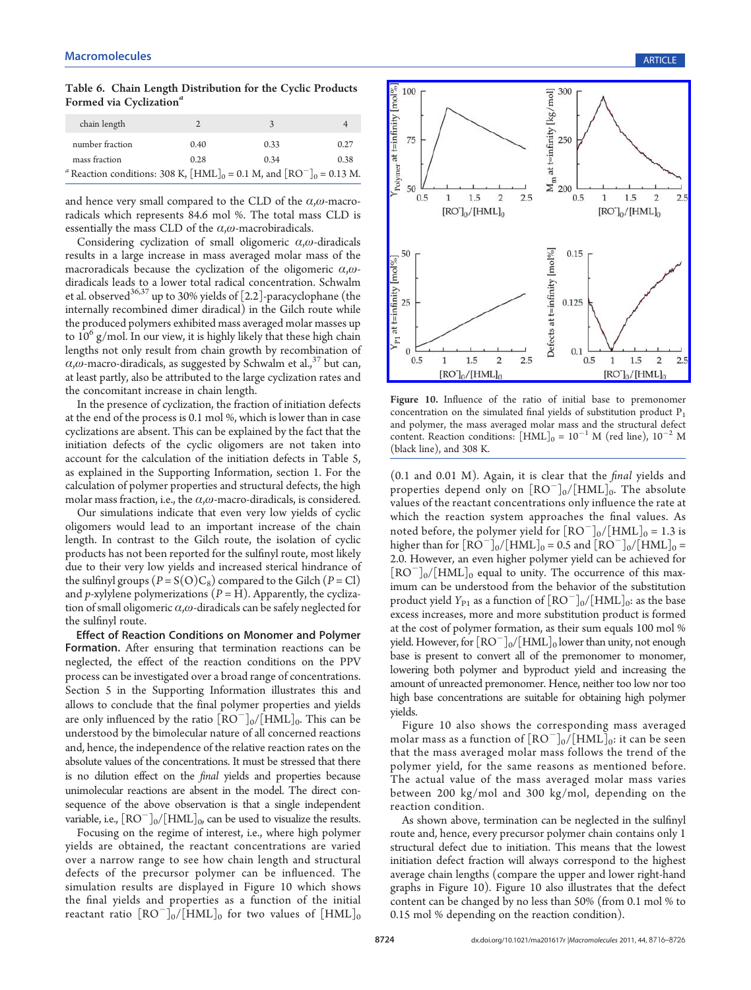Table 6. Chain Length Distribution for the Cyclic Products Formed via Cyclization<sup>a</sup>

| chain length                                                                                                       | $\mathcal{D}$ | 3    |      |
|--------------------------------------------------------------------------------------------------------------------|---------------|------|------|
| number fraction                                                                                                    | 0.40          | 0.33 | 0.27 |
| mass fraction                                                                                                      | 0.28          | 0.34 | 0.38 |
| <sup>a</sup> Reaction conditions: 308 K, $\text{[HML]}_0 = 0.1 \text{ M}$ , and $\text{[RO]}_0 = 0.13 \text{ M}$ . |               |      |      |

and hence very small compared to the CLD of the  $\alpha$ , $\omega$ -macroradicals which represents 84.6 mol %. The total mass CLD is essentially the mass CLD of the  $\alpha,\omega$ -macrobiradicals.

Considering cyclization of small oligomeric  $\alpha$ , $\omega$ -diradicals results in a large increase in mass averaged molar mass of the macroradicals because the cyclization of the oligomeric  $\alpha$ , $\omega$ diradicals leads to a lower total radical concentration. Schwalm et al. observed $36,37$  up to 30% yields of [2.2]-paracyclophane (the internally recombined dimer diradical) in the Gilch route while the produced polymers exhibited mass averaged molar masses up to  $10^6$  g/mol. In our view, it is highly likely that these high chain lengths not only result from chain growth by recombination of  $\alpha$ , $\omega$ -macro-diradicals, as suggested by Schwalm et al.,<sup>37</sup> but can, at least partly, also be attributed to the large cyclization rates and the concomitant increase in chain length.

In the presence of cyclization, the fraction of initiation defects at the end of the process is 0.1 mol %, which is lower than in case cyclizations are absent. This can be explained by the fact that the initiation defects of the cyclic oligomers are not taken into account for the calculation of the initiation defects in Table 5, as explained in the Supporting Information, section 1. For the calculation of polymer properties and structural defects, the high molar mass fraction, i.e., the  $\alpha,\omega$ -macro-diradicals, is considered.

Our simulations indicate that even very low yields of cyclic oligomers would lead to an important increase of the chain length. In contrast to the Gilch route, the isolation of cyclic products has not been reported for the sulfinyl route, most likely due to their very low yields and increased sterical hindrance of the sulfinyl groups  $(P = S(O)C_8)$  compared to the Gilch  $(P = Cl)$ and p-xylylene polymerizations  $(P = H)$ . Apparently, the cyclization of small oligomeric  $\alpha,\omega$ -diradicals can be safely neglected for the sulfinyl route.

Effect of Reaction Conditions on Monomer and Polymer Formation. After ensuring that termination reactions can be neglected, the effect of the reaction conditions on the PPV process can be investigated over a broad range of concentrations. Section 5 in the Supporting Information illustrates this and allows to conclude that the final polymer properties and yields are only influenced by the ratio  $\text{[RO}^{-1}_{0}/\text{[HML]}_{0}$ . This can be understood by the bimolecular nature of all concerned reactions and, hence, the independence of the relative reaction rates on the absolute values of the concentrations. It must be stressed that there is no dilution effect on the final yields and properties because unimolecular reactions are absent in the model. The direct consequence of the above observation is that a single independent variable, i.e.,  $\text{[RO]}_0/\text{[HML]}_0$  can be used to visualize the results.

Focusing on the regime of interest, i.e., where high polymer yields are obtained, the reactant concentrations are varied over a narrow range to see how chain length and structural defects of the precursor polymer can be influenced. The simulation results are displayed in Figure 10 which shows the final yields and properties as a function of the initial reactant ratio  $\mathrm{[RO^{-}]_{0}/[HML]_{0}}$  for two values of  $\mathrm{[HML]_{0}}$ 



Figure 10. Influence of the ratio of initial base to premonomer concentration on the simulated final yields of substitution product  $P_1$ and polymer, the mass averaged molar mass and the structural defect content. Reaction conditions:  $\text{[HML]}_0 = 10^{-1}$  M (red line),  $10^{-2}$  M (black line), and 308 K.

(0.1 and 0.01 M). Again, it is clear that the final yields and properties depend only on  $[RO^-]_0/[HML]_0$ . The absolute values of the reactant concentrations only influence the rate at which the reaction system approaches the final values. As noted before, the polymer yield for  $[RO^-]_0/[HML]_0 = 1.3$  is higher than for  $[RO^-]_0/[HML]_0 = 0.5$  and  $[RO^-]_0/[HML]_0 =$ 2.0. However, an even higher polymer yield can be achieved for  $\text{[RO}^{-}\text{]}_{0}/\text{[HML]}_{0}$  equal to unity. The occurrence of this maximum can be understood from the behavior of the substitution product yield  $Y_{P1}$  as a function of  $[RO^-]_0/[HML]_0$ : as the base excess increases, more and more substitution product is formed at the cost of polymer formation, as their sum equals 100 mol % yield. However, for  $[RO^-]_0/[HML]_0$  lower than unity, not enough base is present to convert all of the premonomer to monomer, lowering both polymer and byproduct yield and increasing the amount of unreacted premonomer. Hence, neither too low nor too high base concentrations are suitable for obtaining high polymer yields.

Figure 10 also shows the corresponding mass averaged molar mass as a function of  $[RO^-]_0/[HML]_0$ : it can be seen that the mass averaged molar mass follows the trend of the polymer yield, for the same reasons as mentioned before. The actual value of the mass averaged molar mass varies between 200 kg/mol and 300 kg/mol, depending on the reaction condition.

As shown above, termination can be neglected in the sulfinyl route and, hence, every precursor polymer chain contains only 1 structural defect due to initiation. This means that the lowest initiation defect fraction will always correspond to the highest average chain lengths (compare the upper and lower right-hand graphs in Figure 10). Figure 10 also illustrates that the defect content can be changed by no less than 50% (from 0.1 mol % to 0.15 mol % depending on the reaction condition).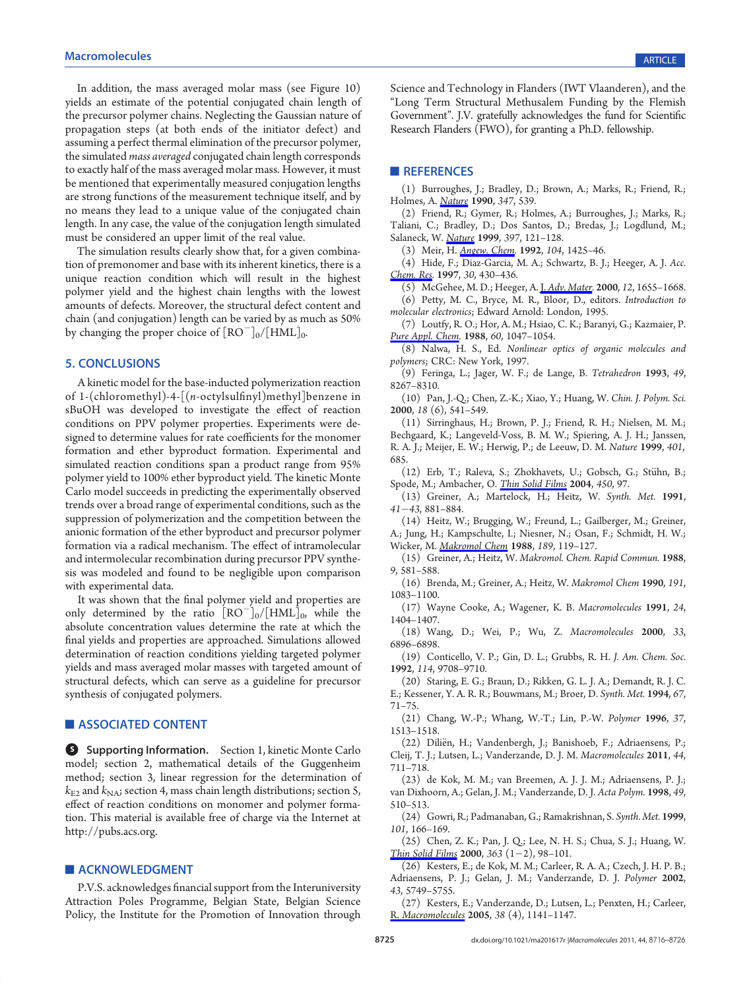In addition, the mass averaged molar mass (see Figure 10) yields an estimate of the potential conjugated chain length of the precursor polymer chains. Neglecting the Gaussian nature of propagation steps (at both ends of the initiator defect) and assuming a perfect thermal elimination of the precursor polymer, the simulated *mass averaged* conjugated chain length corresponds to exactly half of the mass averaged molar mass. However, it must be mentioned that experimentally measured conjugation lengths are strong functions of the measurement technique itself, and by no means they lead to a unique value of the conjugated chain length. In any case, the value of the conjugation length simulated must be considered an upper limit of the real value.

The simulation results clearly show that, for a given combination of premonomer and base with its inherent kinetics, there is a unique reaction condition which will result in the highest polymer yield and the highest chain lengths with the lowest amounts of defects. Moreover, the structural defect content and chain (and conjugation) length can be varied by as much as 50% by changing the proper choice of  $\rm [RO^-]_0/[HML]_0.$ 

# 5. CONCLUSIONS

A kinetic model for the base-inducted polymerization reaction of 1-(chloromethyl)-4-[(n-octylsulfinyl)methyl]benzene in sBuOH was developed to investigate the effect of reaction conditions on PPV polymer properties. Experiments were designed to determine values for rate coefficients for the monomer formation and ether byproduct formation. Experimental and simulated reaction conditions span a product range from 95% polymer yield to 100% ether byproduct yield. The kinetic Monte Carlo model succeeds in predicting the experimentally observed trends over a broad range of experimental conditions, such as the suppression of polymerization and the competition between the anionic formation of the ether byproduct and precursor polymer formation via a radical mechanism. The effect of intramolecular and intermolecular recombination during precursor PPV synthesis was modeled and found to be negligible upon comparison with experimental data.

It was shown that the final polymer yield and properties are only determined by the ratio  $[RO^-]_0/[HML]_0$ , while the absolute concentration values determine the rate at which the final yields and properties are approached. Simulations allowed determination of reaction conditions yielding targeted polymer yields and mass averaged molar masses with targeted amount of structural defects, which can serve as a guideline for precursor synthesis of conjugated polymers.

### **ASSOCIATED CONTENT**

**S** Supporting Information. Section 1, kinetic Monte Carlo model; section 2, mathematical details of the Guggenheim method; section 3, linear regression for the determination of  $k_{\text{E2}}$  and  $k_{\text{NA}}$ ; section 4, mass chain length distributions; section 5, effect of reaction conditions on monomer and polymer formation. This material is available free of charge via the Internet at http://pubs.acs.org.

#### **ACKNOWLEDGMENT**

P.V.S. acknowledges financial support from the Interuniversity Attraction Poles Programme, Belgian State, Belgian Science Policy, the Institute for the Promotion of Innovation through

Science and Technology in Flanders (IWT Vlaanderen), and the "Long Term Structural Methusalem Funding by the Flemish Government". J.V. gratefully acknowledges the fund for Scientific Research Flanders (FWO), for granting a Ph.D. fellowship.

#### **REFERENCES**

(1) Burroughes, J.; Bradley, D.; Brown, A.; Marks, R.; Friend, R.; Holmes, A. *Nature* 1990, 347, 539.

(2) Friend, R.; Gymer, R.; Holmes, A.; Burroughes, J.; Marks, R.; Taliani, C.; Bradley, D.; Dos Santos, D.; Bredas, J.; Logdlund, M.; Salaneck, W. Nature 1999, 397, 121-128.

(3) Meir, H. Angew. Chem. 1992, 104, 1425–46.

(4) Hide, F.; Diaz-Garcia, M. A.; Schwartz, B. J.; Heeger, A. J. Acc. Chem. Res. 1997, 30, 430-436.

(5) McGehee, M. D.; Heeger, A. J. Adv. Mater. 2000, 12, 1655-1668.

(6) Petty, M. C., Bryce, M. R., Bloor, D., editors. Introduction to molecular electronics; Edward Arnold: London, 1995.

(7) Loutfy, R. O.; Hor, A. M.; Hsiao, C. K.; Baranyi, G.; Kazmaier, P. Pure Appl. Chem. 1988, 60, 1047-1054.

(8) Nalwa, H. S., Ed. Nonlinear optics of organic molecules and polymers; CRC: New York, 1997.

(9) Feringa, L.; Jager, W. F.; de Lange, B. Tetrahedron 1993, 49, 8267–8310.

(10) Pan, J.-Q.; Chen, Z.-K.; Xiao, Y.; Huang, W. Chin. J. Polym. Sci. 2000, 18 (6), 541–549.

(11) Sirringhaus, H.; Brown, P. J.; Friend, R. H.; Nielsen, M. M.; Bechgaard, K.; Langeveld-Voss, B. M. W.; Spiering, A. J. H.; Janssen, R. A. J.; Meijer, E. W.; Herwig, P.; de Leeuw, D. M. Nature 1999, 401, 685.

(12) Erb, T.; Raleva, S.; Zhokhavets, U.; Gobsch, G.; Stühn, B.; Spode, M.; Ambacher, O. Thin Solid Films 2004, 450, 97.

(13) Greiner, A.; Martelock, H.; Heitz, W. Synth. Met. 1991, 4143, 881–884.

(14) Heitz, W.; Brugging, W.; Freund, L.; Gailberger, M.; Greiner, A.; Jung, H.; Kampschulte, I.; Niesner, N.; Osan, F.; Schmidt, H. W.; Wicker, M. Makromol Chem 1988, 189, 119-127.

(15) Greiner, A.; Heitz, W. Makromol. Chem. Rapid Commun. 1988, 9, 581–588.

(16) Brenda, M.; Greiner, A.; Heitz, W. Makromol Chem 1990, 191, 1083–1100.

(17) Wayne Cooke, A.; Wagener, K. B. Macromolecules 1991, 24, 1404–1407.

(18) Wang, D.; Wei, P.; Wu, Z. Macromolecules 2000, 33, 6896–6898.

(19) Conticello, V. P.; Gin, D. L.; Grubbs, R. H. J. Am. Chem. Soc. 1992, 114, 9708–9710.

(20) Staring, E. G.; Braun, D.; Rikken, G. L. J. A.; Demandt, R. J. C. E.; Kessener, Y. A. R. R.; Bouwmans, M.; Broer, D. Synth. Met. 1994, 67, 71–75.

(21) Chang, W.-P.; Whang, W.-T.; Lin, P.-W. Polymer 1996, 37, 1513–1518.

(22) Dili€en, H.; Vandenbergh, J.; Banishoeb, F.; Adriaensens, P.; Cleij, T. J.; Lutsen, L.; Vanderzande, D. J. M. Macromolecules 2011, 44, 711–718.

(23) de Kok, M. M.; van Breemen, A. J. J. M.; Adriaensens, P. J.; van Dixhoorn, A.; Gelan, J. M.; Vanderzande, D. J. Acta Polym. 1998, 49, 510–513.

(24) Gowri, R.; Padmanaban, G.; Ramakrishnan, S. Synth. Met. 1999, 101, 166–169.

(25) Chen, Z. K.; Pan, J. Q.; Lee, N. H. S.; Chua, S. J.; Huang, W. Thin Solid Films 2000, 363  $(1-2)$ , 98-101.

(26) Kesters, E.; de Kok, M. M.; Carleer, R. A. A.; Czech, J. H. P. B.; Adriaensens, P. J.; Gelan, J. M.; Vanderzande, D. J. Polymer 2002, 43, 5749–5755.

(27) Kesters, E.; Vanderzande, D.; Lutsen, L.; Penxten, H.; Carleer, R. Macromolecules 2005, 38 (4), 1141–1147.